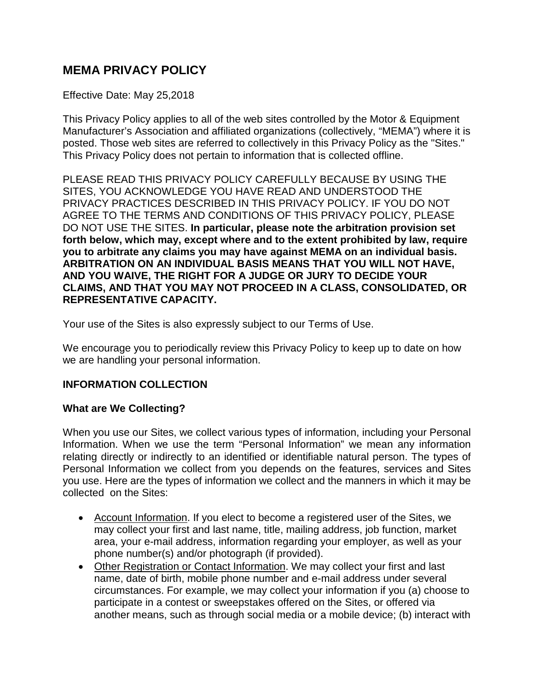# **MEMA PRIVACY POLICY**

#### Effective Date: May 25,2018

This Privacy Policy applies to all of the web sites controlled by the Motor & Equipment Manufacturer's Association and affiliated organizations (collectively, "MEMA") where it is posted. Those web sites are referred to collectively in this Privacy Policy as the "Sites." This Privacy Policy does not pertain to information that is collected offline.

PLEASE READ THIS PRIVACY POLICY CAREFULLY BECAUSE BY USING THE SITES, YOU ACKNOWLEDGE YOU HAVE READ AND UNDERSTOOD THE PRIVACY PRACTICES DESCRIBED IN THIS PRIVACY POLICY. IF YOU DO NOT AGREE TO THE TERMS AND CONDITIONS OF THIS PRIVACY POLICY, PLEASE DO NOT USE THE SITES. **In particular, please note the arbitration provision set forth below, which may, except where and to the extent prohibited by law, require you to arbitrate any claims you may have against MEMA on an individual basis. ARBITRATION ON AN INDIVIDUAL BASIS MEANS THAT YOU WILL NOT HAVE, AND YOU WAIVE, THE RIGHT FOR A JUDGE OR JURY TO DECIDE YOUR CLAIMS, AND THAT YOU MAY NOT PROCEED IN A CLASS, CONSOLIDATED, OR REPRESENTATIVE CAPACITY.**

Your use of the Sites is also expressly subject to our Terms of Use.

We encourage you to periodically review this Privacy Policy to keep up to date on how we are handling your personal information.

#### **INFORMATION COLLECTION**

#### **What are We Collecting?**

When you use our Sites, we collect various types of information, including your Personal Information. When we use the term "Personal Information" we mean any information relating directly or indirectly to an identified or identifiable natural person. The types of Personal Information we collect from you depends on the features, services and Sites you use. Here are the types of information we collect and the manners in which it may be collected on the Sites:

- Account Information. If you elect to become a registered user of the Sites, we may collect your first and last name, title, mailing address, job function, market area, your e-mail address, information regarding your employer, as well as your phone number(s) and/or photograph (if provided).
- Other Registration or Contact Information. We may collect your first and last name, date of birth, mobile phone number and e-mail address under several circumstances. For example, we may collect your information if you (a) choose to participate in a contest or sweepstakes offered on the Sites, or offered via another means, such as through social media or a mobile device; (b) interact with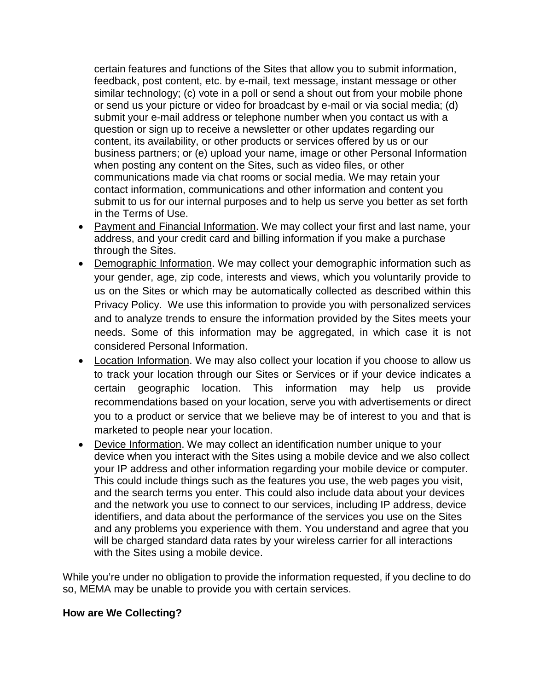certain features and functions of the Sites that allow you to submit information, feedback, post content, etc. by e-mail, text message, instant message or other similar technology; (c) vote in a poll or send a shout out from your mobile phone or send us your picture or video for broadcast by e-mail or via social media; (d) submit your e-mail address or telephone number when you contact us with a question or sign up to receive a newsletter or other updates regarding our content, its availability, or other products or services offered by us or our business partners; or (e) upload your name, image or other Personal Information when posting any content on the Sites, such as video files, or other communications made via chat rooms or social media. We may retain your contact information, communications and other information and content you submit to us for our internal purposes and to help us serve you better as set forth in the Terms of Use.

- Payment and Financial Information. We may collect your first and last name, your address, and your credit card and billing information if you make a purchase through the Sites.
- Demographic Information. We may collect your demographic information such as your gender, age, zip code, interests and views, which you voluntarily provide to us on the Sites or which may be automatically collected as described within this Privacy Policy. We use this information to provide you with personalized services and to analyze trends to ensure the information provided by the Sites meets your needs. Some of this information may be aggregated, in which case it is not considered Personal Information.
- Location Information. We may also collect your location if you choose to allow us to track your location through our Sites or Services or if your device indicates a certain geographic location. This information may help us provide recommendations based on your location, serve you with advertisements or direct you to a product or service that we believe may be of interest to you and that is marketed to people near your location.
- Device Information. We may collect an identification number unique to your device when you interact with the Sites using a mobile device and we also collect your IP address and other information regarding your mobile device or computer. This could include things such as the features you use, the web pages you visit, and the search terms you enter. This could also include data about your devices and the network you use to connect to our services, including IP address, device identifiers, and data about the performance of the services you use on the Sites and any problems you experience with them. You understand and agree that you will be charged standard data rates by your wireless carrier for all interactions with the Sites using a mobile device.

While you're under no obligation to provide the information requested, if you decline to do so, MEMA may be unable to provide you with certain services.

#### **How are We Collecting?**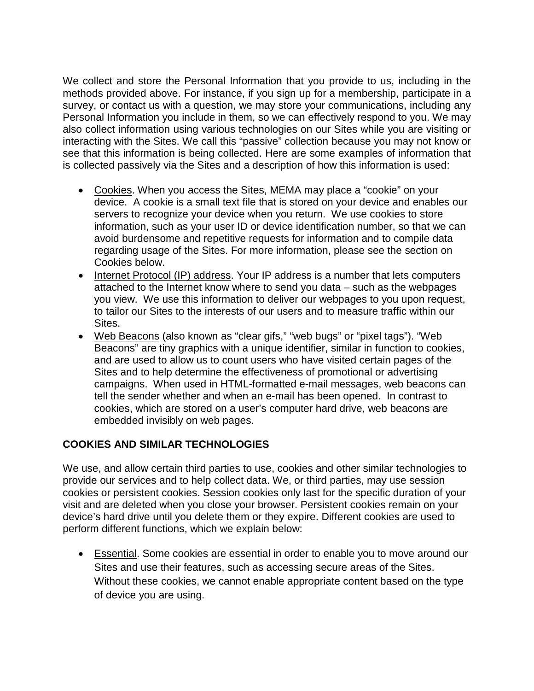We collect and store the Personal Information that you provide to us, including in the methods provided above. For instance, if you sign up for a membership, participate in a survey, or contact us with a question, we may store your communications, including any Personal Information you include in them, so we can effectively respond to you. We may also collect information using various technologies on our Sites while you are visiting or interacting with the Sites. We call this "passive" collection because you may not know or see that this information is being collected. Here are some examples of information that is collected passively via the Sites and a description of how this information is used:

- Cookies. When you access the Sites, MEMA may place a "cookie" on your device. A cookie is a small text file that is stored on your device and enables our servers to recognize your device when you return. We use cookies to store information, such as your user ID or device identification number, so that we can avoid burdensome and repetitive requests for information and to compile data regarding usage of the Sites. For more information, please see the section on Cookies below.
- Internet Protocol (IP) address. Your IP address is a number that lets computers attached to the Internet know where to send you data – such as the webpages you view. We use this information to deliver our webpages to you upon request, to tailor our Sites to the interests of our users and to measure traffic within our Sites.
- Web Beacons (also known as "clear gifs," "web bugs" or "pixel tags"). "Web Beacons" are tiny graphics with a unique identifier, similar in function to cookies, and are used to allow us to count users who have visited certain pages of the Sites and to help determine the effectiveness of promotional or advertising campaigns. When used in HTML-formatted e-mail messages, web beacons can tell the sender whether and when an e-mail has been opened. In contrast to cookies, which are stored on a user's computer hard drive, web beacons are embedded invisibly on web pages.

### **COOKIES AND SIMILAR TECHNOLOGIES**

We use, and allow certain third parties to use, cookies and other similar technologies to provide our services and to help collect data. We, or third parties, may use session cookies or persistent cookies. Session cookies only last for the specific duration of your visit and are deleted when you close your browser. Persistent cookies remain on your device's hard drive until you delete them or they expire. Different cookies are used to perform different functions, which we explain below:

• Essential. Some cookies are essential in order to enable you to move around our Sites and use their features, such as accessing secure areas of the Sites. Without these cookies, we cannot enable appropriate content based on the type of device you are using.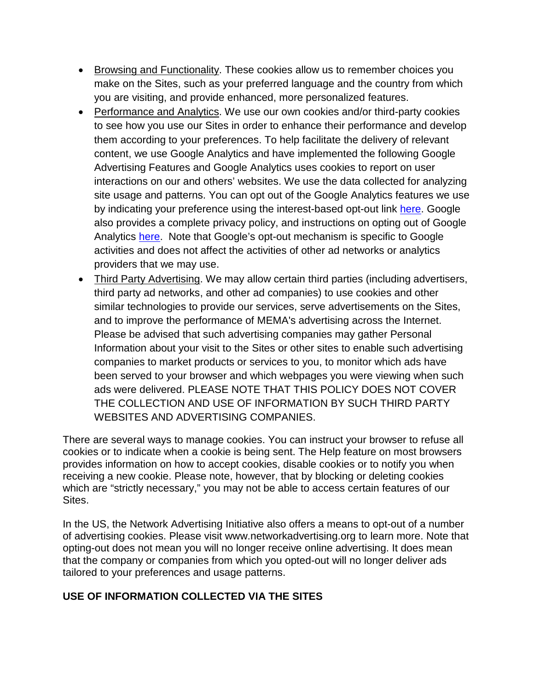- Browsing and Functionality. These cookies allow us to remember choices you make on the Sites, such as your preferred language and the country from which you are visiting, and provide enhanced, more personalized features.
- Performance and Analytics. We use our own cookies and/or third-party cookies to see how you use our Sites in order to enhance their performance and develop them according to your preferences. To help facilitate the delivery of relevant content, we use Google Analytics and have implemented the following Google Advertising Features and Google Analytics uses cookies to report on user interactions on our and others' websites. We use the data collected for analyzing site usage and patterns. You can opt out of the Google Analytics features we use by indicating your preference using the interest-based opt-out link [here.](http://optout.aboutads.info/?c=2#!/) Google also provides a complete privacy policy, and instructions on opting out of Google Analytics [here.](https://tools.google.com/dlpage/gaoptout/) Note that Google's opt-out mechanism is specific to Google activities and does not affect the activities of other ad networks or analytics providers that we may use.
- Third Party Advertising. We may allow certain third parties (including advertisers, third party ad networks, and other ad companies) to use cookies and other similar technologies to provide our services, serve advertisements on the Sites, and to improve the performance of MEMA's advertising across the Internet. Please be advised that such advertising companies may gather Personal Information about your visit to the Sites or other sites to enable such advertising companies to market products or services to you, to monitor which ads have been served to your browser and which webpages you were viewing when such ads were delivered. PLEASE NOTE THAT THIS POLICY DOES NOT COVER THE COLLECTION AND USE OF INFORMATION BY SUCH THIRD PARTY WEBSITES AND ADVERTISING COMPANIES.

There are several ways to manage cookies. You can instruct your browser to refuse all cookies or to indicate when a cookie is being sent. The Help feature on most browsers provides information on how to accept cookies, disable cookies or to notify you when receiving a new cookie. Please note, however, that by blocking or deleting cookies which are "strictly necessary," you may not be able to access certain features of our Sites.

In the US, the Network Advertising Initiative also offers a means to opt-out of a number of advertising cookies. Please visit www.networkadvertising.org to learn more. Note that opting-out does not mean you will no longer receive online advertising. It does mean that the company or companies from which you opted-out will no longer deliver ads tailored to your preferences and usage patterns.

### **USE OF INFORMATION COLLECTED VIA THE SITES**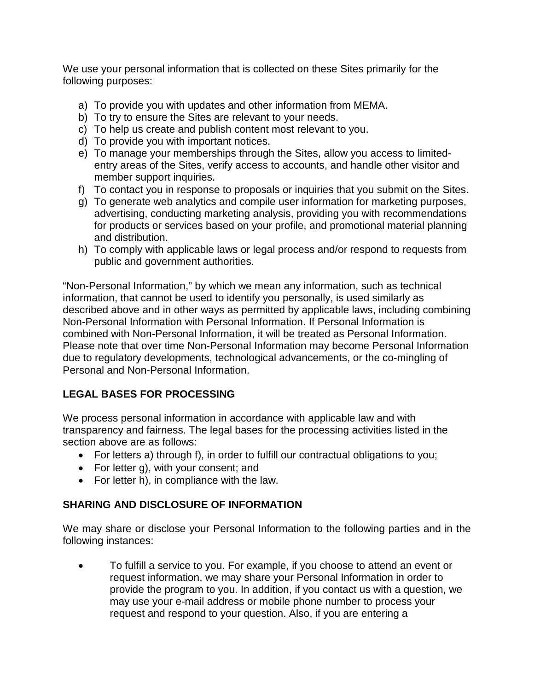We use your personal information that is collected on these Sites primarily for the following purposes:

- a) To provide you with updates and other information from MEMA.
- b) To try to ensure the Sites are relevant to your needs.
- c) To help us create and publish content most relevant to you.
- d) To provide you with important notices.
- e) To manage your memberships through the Sites, allow you access to limitedentry areas of the Sites, verify access to accounts, and handle other visitor and member support inquiries.
- f) To contact you in response to proposals or inquiries that you submit on the Sites.
- g) To generate web analytics and compile user information for marketing purposes, advertising, conducting marketing analysis, providing you with recommendations for products or services based on your profile, and promotional material planning and distribution.
- h) To comply with applicable laws or legal process and/or respond to requests from public and government authorities.

"Non-Personal Information," by which we mean any information, such as technical information, that cannot be used to identify you personally, is used similarly as described above and in other ways as permitted by applicable laws, including combining Non-Personal Information with Personal Information. If Personal Information is combined with Non-Personal Information, it will be treated as Personal Information. Please note that over time Non-Personal Information may become Personal Information due to regulatory developments, technological advancements, or the co-mingling of Personal and Non-Personal Information.

## **LEGAL BASES FOR PROCESSING**

We process personal information in accordance with applicable law and with transparency and fairness. The legal bases for the processing activities listed in the section above are as follows:

- For letters a) through f), in order to fulfill our contractual obligations to you;
- For letter g), with your consent; and
- For letter h), in compliance with the law.

### **SHARING AND DISCLOSURE OF INFORMATION**

We may share or disclose your Personal Information to the following parties and in the following instances:

• To fulfill a service to you. For example, if you choose to attend an event or request information, we may share your Personal Information in order to provide the program to you. In addition, if you contact us with a question, we may use your e-mail address or mobile phone number to process your request and respond to your question. Also, if you are entering a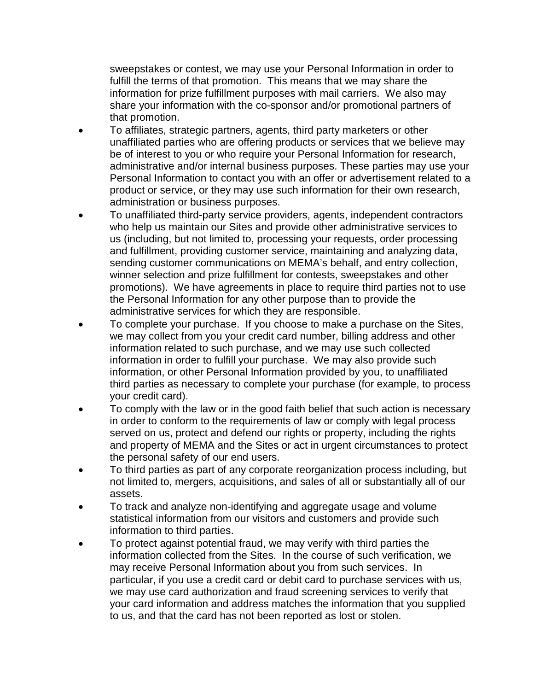sweepstakes or contest, we may use your Personal Information in order to fulfill the terms of that promotion. This means that we may share the information for prize fulfillment purposes with mail carriers. We also may share your information with the co-sponsor and/or promotional partners of that promotion.

- To affiliates, strategic partners, agents, third party marketers or other unaffiliated parties who are offering products or services that we believe may be of interest to you or who require your Personal Information for research, administrative and/or internal business purposes. These parties may use your Personal Information to contact you with an offer or advertisement related to a product or service, or they may use such information for their own research, administration or business purposes.
- To unaffiliated third-party service providers, agents, independent contractors who help us maintain our Sites and provide other administrative services to us (including, but not limited to, processing your requests, order processing and fulfillment, providing customer service, maintaining and analyzing data, sending customer communications on MEMA's behalf, and entry collection, winner selection and prize fulfillment for contests, sweepstakes and other promotions). We have agreements in place to require third parties not to use the Personal Information for any other purpose than to provide the administrative services for which they are responsible.
- To complete your purchase. If you choose to make a purchase on the Sites, we may collect from you your credit card number, billing address and other information related to such purchase, and we may use such collected information in order to fulfill your purchase. We may also provide such information, or other Personal Information provided by you, to unaffiliated third parties as necessary to complete your purchase (for example, to process your credit card).
- To comply with the law or in the good faith belief that such action is necessary in order to conform to the requirements of law or comply with legal process served on us, protect and defend our rights or property, including the rights and property of MEMA and the Sites or act in urgent circumstances to protect the personal safety of our end users.
- To third parties as part of any corporate reorganization process including, but not limited to, mergers, acquisitions, and sales of all or substantially all of our assets.
- To track and analyze non-identifying and aggregate usage and volume statistical information from our visitors and customers and provide such information to third parties.
- To protect against potential fraud, we may verify with third parties the information collected from the Sites. In the course of such verification, we may receive Personal Information about you from such services. In particular, if you use a credit card or debit card to purchase services with us, we may use card authorization and fraud screening services to verify that your card information and address matches the information that you supplied to us, and that the card has not been reported as lost or stolen.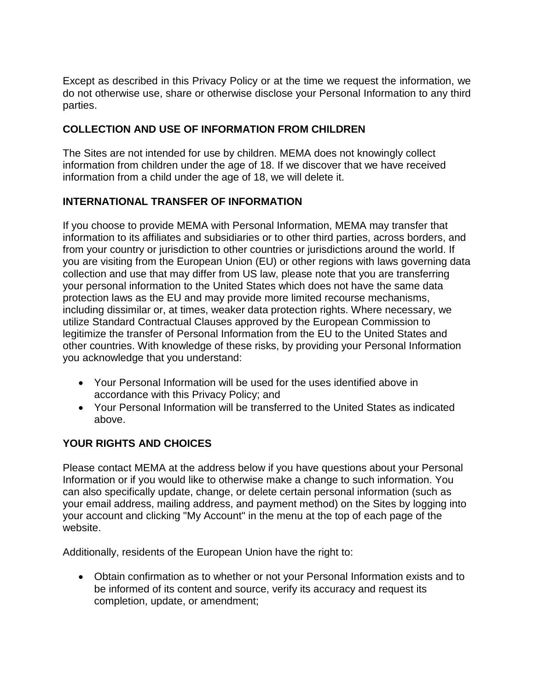Except as described in this Privacy Policy or at the time we request the information, we do not otherwise use, share or otherwise disclose your Personal Information to any third parties.

## **COLLECTION AND USE OF INFORMATION FROM CHILDREN**

The Sites are not intended for use by children. MEMA does not knowingly collect information from children under the age of 18. If we discover that we have received information from a child under the age of 18, we will delete it.

## **INTERNATIONAL TRANSFER OF INFORMATION**

If you choose to provide MEMA with Personal Information, MEMA may transfer that information to its affiliates and subsidiaries or to other third parties, across borders, and from your country or jurisdiction to other countries or jurisdictions around the world. If you are visiting from the European Union (EU) or other regions with laws governing data collection and use that may differ from US law, please note that you are transferring your personal information to the United States which does not have the same data protection laws as the EU and may provide more limited recourse mechanisms, including dissimilar or, at times, weaker data protection rights. Where necessary, we utilize Standard Contractual Clauses approved by the European Commission to legitimize the transfer of Personal Information from the EU to the United States and other countries. With knowledge of these risks, by providing your Personal Information you acknowledge that you understand:

- Your Personal Information will be used for the uses identified above in accordance with this Privacy Policy; and
- Your Personal Information will be transferred to the United States as indicated above.

## **YOUR RIGHTS AND CHOICES**

Please contact MEMA at the address below if you have questions about your Personal Information or if you would like to otherwise make a change to such information. You can also specifically update, change, or delete certain personal information (such as your email address, mailing address, and payment method) on the Sites by logging into your account and clicking "My Account" in the menu at the top of each page of the website.

Additionally, residents of the European Union have the right to:

• Obtain confirmation as to whether or not your Personal Information exists and to be informed of its content and source, verify its accuracy and request its completion, update, or amendment;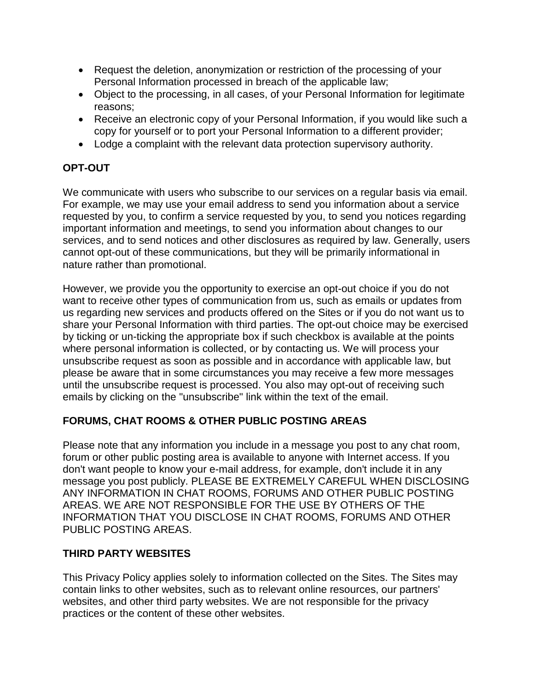- Request the deletion, anonymization or restriction of the processing of your Personal Information processed in breach of the applicable law;
- Object to the processing, in all cases, of your Personal Information for legitimate reasons;
- Receive an electronic copy of your Personal Information, if you would like such a copy for yourself or to port your Personal Information to a different provider;
- Lodge a complaint with the relevant data protection supervisory authority.

## **OPT-OUT**

We communicate with users who subscribe to our services on a regular basis via email. For example, we may use your email address to send you information about a service requested by you, to confirm a service requested by you, to send you notices regarding important information and meetings, to send you information about changes to our services, and to send notices and other disclosures as required by law. Generally, users cannot opt-out of these communications, but they will be primarily informational in nature rather than promotional.

However, we provide you the opportunity to exercise an opt-out choice if you do not want to receive other types of communication from us, such as emails or updates from us regarding new services and products offered on the Sites or if you do not want us to share your Personal Information with third parties. The opt-out choice may be exercised by ticking or un-ticking the appropriate box if such checkbox is available at the points where personal information is collected, or by contacting us. We will process your unsubscribe request as soon as possible and in accordance with applicable law, but please be aware that in some circumstances you may receive a few more messages until the unsubscribe request is processed. You also may opt-out of receiving such emails by clicking on the "unsubscribe" link within the text of the email.

### **FORUMS, CHAT ROOMS & OTHER PUBLIC POSTING AREAS**

Please note that any information you include in a message you post to any chat room, forum or other public posting area is available to anyone with Internet access. If you don't want people to know your e-mail address, for example, don't include it in any message you post publicly. PLEASE BE EXTREMELY CAREFUL WHEN DISCLOSING ANY INFORMATION IN CHAT ROOMS, FORUMS AND OTHER PUBLIC POSTING AREAS. WE ARE NOT RESPONSIBLE FOR THE USE BY OTHERS OF THE INFORMATION THAT YOU DISCLOSE IN CHAT ROOMS, FORUMS AND OTHER PUBLIC POSTING AREAS.

## **THIRD PARTY WEBSITES**

This Privacy Policy applies solely to information collected on the Sites. The Sites may contain links to other websites, such as to relevant online resources, our partners' websites, and other third party websites. We are not responsible for the privacy practices or the content of these other websites.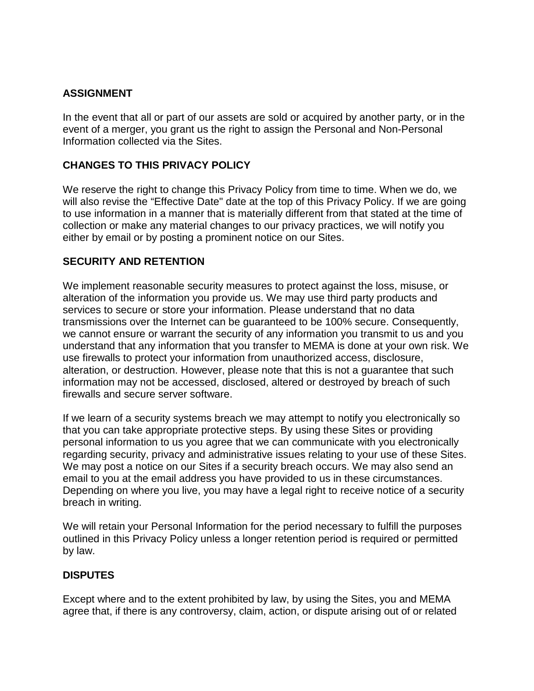## **ASSIGNMENT**

In the event that all or part of our assets are sold or acquired by another party, or in the event of a merger, you grant us the right to assign the Personal and Non-Personal Information collected via the Sites.

### **CHANGES TO THIS PRIVACY POLICY**

We reserve the right to change this Privacy Policy from time to time. When we do, we will also revise the "Effective Date" date at the top of this Privacy Policy. If we are going to use information in a manner that is materially different from that stated at the time of collection or make any material changes to our privacy practices, we will notify you either by email or by posting a prominent notice on our Sites.

### **SECURITY AND RETENTION**

We implement reasonable security measures to protect against the loss, misuse, or alteration of the information you provide us. We may use third party products and services to secure or store your information. Please understand that no data transmissions over the Internet can be guaranteed to be 100% secure. Consequently, we cannot ensure or warrant the security of any information you transmit to us and you understand that any information that you transfer to MEMA is done at your own risk. We use firewalls to protect your information from unauthorized access, disclosure, alteration, or destruction. However, please note that this is not a guarantee that such information may not be accessed, disclosed, altered or destroyed by breach of such firewalls and secure server software.

If we learn of a security systems breach we may attempt to notify you electronically so that you can take appropriate protective steps. By using these Sites or providing personal information to us you agree that we can communicate with you electronically regarding security, privacy and administrative issues relating to your use of these Sites. We may post a notice on our Sites if a security breach occurs. We may also send an email to you at the email address you have provided to us in these circumstances. Depending on where you live, you may have a legal right to receive notice of a security breach in writing.

We will retain your Personal Information for the period necessary to fulfill the purposes outlined in this Privacy Policy unless a longer retention period is required or permitted by law.

#### **DISPUTES**

Except where and to the extent prohibited by law, by using the Sites, you and MEMA agree that, if there is any controversy, claim, action, or dispute arising out of or related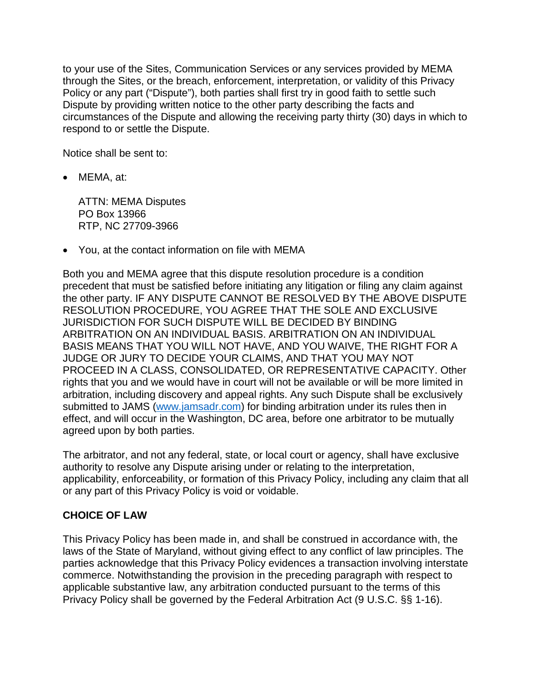to your use of the Sites, Communication Services or any services provided by MEMA through the Sites, or the breach, enforcement, interpretation, or validity of this Privacy Policy or any part ("Dispute"), both parties shall first try in good faith to settle such Dispute by providing written notice to the other party describing the facts and circumstances of the Dispute and allowing the receiving party thirty (30) days in which to respond to or settle the Dispute.

Notice shall be sent to:

• MEMA, at:

ATTN: MEMA Disputes PO Box 13966 RTP, NC 27709-3966

• You, at the contact information on file with MEMA

Both you and MEMA agree that this dispute resolution procedure is a condition precedent that must be satisfied before initiating any litigation or filing any claim against the other party. IF ANY DISPUTE CANNOT BE RESOLVED BY THE ABOVE DISPUTE RESOLUTION PROCEDURE, YOU AGREE THAT THE SOLE AND EXCLUSIVE JURISDICTION FOR SUCH DISPUTE WILL BE DECIDED BY BINDING ARBITRATION ON AN INDIVIDUAL BASIS. ARBITRATION ON AN INDIVIDUAL BASIS MEANS THAT YOU WILL NOT HAVE, AND YOU WAIVE, THE RIGHT FOR A JUDGE OR JURY TO DECIDE YOUR CLAIMS, AND THAT YOU MAY NOT PROCEED IN A CLASS, CONSOLIDATED, OR REPRESENTATIVE CAPACITY. Other rights that you and we would have in court will not be available or will be more limited in arbitration, including discovery and appeal rights. Any such Dispute shall be exclusively submitted to JAMS [\(www.jamsadr.com\)](http://www.jamsadr.com/) for binding arbitration under its rules then in effect, and will occur in the Washington, DC area, before one arbitrator to be mutually agreed upon by both parties.

The arbitrator, and not any federal, state, or local court or agency, shall have exclusive authority to resolve any Dispute arising under or relating to the interpretation, applicability, enforceability, or formation of this Privacy Policy, including any claim that all or any part of this Privacy Policy is void or voidable.

#### **CHOICE OF LAW**

This Privacy Policy has been made in, and shall be construed in accordance with, the laws of the State of Maryland, without giving effect to any conflict of law principles. The parties acknowledge that this Privacy Policy evidences a transaction involving interstate commerce. Notwithstanding the provision in the preceding paragraph with respect to applicable substantive law, any arbitration conducted pursuant to the terms of this Privacy Policy shall be governed by the Federal Arbitration Act (9 U.S.C. §§ 1-16).